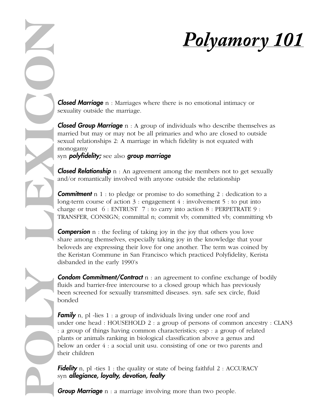

**Closed Marriage** n : Marriages where there is no emotional intimacy or sexuality outside the marriage.

**Closed Group Marriage**  $n : A$  group of individuals who describe themselves as married but may or may not be all primaries and who are closed to outside sexual relationships 2: A marriage in which fidelity is not equated with monogamy

syn **polyfidelity;** see also **group marriage** 

**Closed Relationship**  $n : An agreement among the members not to get sexually$ and/or romantically involved with anyone outside the relationship

**Commitment**  $n \neq 1$ : to pledge or promise to do something 2 : dedication to a long-term course of action  $3:$  engagement  $4:$  involvement  $5:$  to put into charge or trust  $6: ENTRUST$  7 : to carry into action  $8: PERPETRATE 9:$ TRANSFER, CONSIGN; committal n; commit vb; committed vb; committing vb

**Compersion**  $n$ : the feeling of taking joy in the joy that others you love share among themselves, especially taking joy in the knowledge that your beloveds are expressing their love for one another. The term was coined by the Keristan Commune in San Francisco which practiced Polyfidelity, Kerista disbanded in the early 1990's

**Condom Commitment/Contract** n : an agreement to confine exchange of bodily fluids and barrier-free intercourse to a closed group which has previously been screened for sexually transmitted diseases. syn. safe sex circle, fluid bonded

**Family** n, pl -lies  $1: a$  group of individuals living under one roof and under one head : HOUSEHOLD 2 : a group of persons of common ancestry : CLAN3 : a group of things having common characteristics; esp : a group of related plants or animals ranking in biological classification above a genus and below an order 4 : a social unit usu. consisting of one or two parents and their children **POLY CANNET SET AND CONSUM CONSUM CONSUM CONSUM CONSUM GROWS (COOP MATRIAGE 1)** Second of the marriage in which fidelity is not equal considerably a set all primaries and who are closes not experiment introducing more tha

**Fidelity** n, pl -ties  $1$ : the quality or state of being faithful  $2$ : ACCURACY syn allegiance, loyalty, devotion, fealty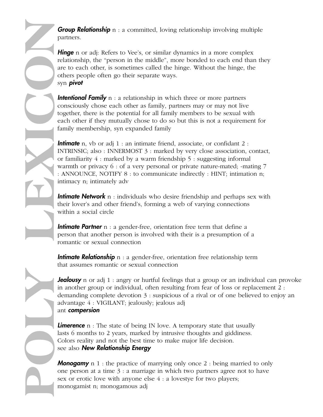**Group Relationship**  $n : a$  committed, loving relationship involving multiple partners.

**Hinge** n or adj: Refers to Vee's, or similar dynamics in a more complex relationship, the "person in the middle", more bonded to each end than they are to each other, is sometimes called the hinge. Without the hinge, the others people often go their separate ways. syn pivot

**Intentional Family**  $n : a$  relationship in which three or more partners consciously chose each other as family, partners may or may not live together, there is the potential for all family members to be sexual with each other if they mutually chose to do so but this is not a requirement for family membership, syn expanded family

**Intimate** n, vb or adj 1 : an intimate friend, associate, or confidant 2 : INTRINSIC; also : INNERMOST 3 : marked by very close association, contact, or familiarity 4 : marked by a warm friendship 5 : suggesting informal warmth or privacy 6 : of a very personal or private nature-mated; -mating 7 : ANNOUNCE, NOTIFY 8 : to communicate indirectly : HINT; intimation n; intimacy n; intimately adv **Proup Relationship n** : a commit<br>partners.<br> **Hinge** n or adj: Refers to Vee's, celationship, the "person in the rece to calce other, is sometimes of<br>
syn provid<br> **Intentional Fermily n** : a relations<br>
consciously chose ea

**Intimate Network** n : individuals who desire friendship and perhaps sex with their lover's and other friend's, forming a web of varying connections within a social circle

**Intimate Partner** n : a gender-free, orientation free term that define a person that another person is involved with their is a presumption of a romantic or sexual connection

**Intimate Relationship**  $n : a$  gender-free, orientation free relationship term that assumes romantic or sexual connection

**Jealousy** n or adj 1 : angry or hurtful feelings that a group or an individual can provoke in another group or individual, often resulting from fear of loss or replacement 2 : demanding complete devotion 3 : suspicious of a rival or of one believed to enjoy an advantage 4 : VIGILANT; jealously; jealous adj ant **compersion** 

**Limerence**  $n$ : The state of being IN love. A temporary state that usually lasts 6 months to 2 years, marked by intrusive thoughts and giddiness. Colors reality and not the best time to make major life decision. see also **New Relationship Energy** 

**Monogamy** n 1 : the practice of marrying only once 2 : being married to only one person at a time  $3: a$  marriage in which two partners agree not to have sex or erotic love with anyone else 4 : a lovestye for two players;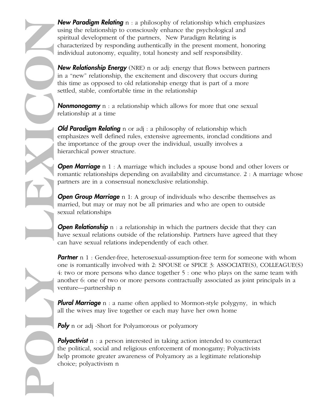New Relationship Energy (NRE) n or adj: energy that flows between partners in a "new" relationship, the excitement and discovery that occurs during this time as opposed to old relationship energy that is part of a more settled, stable, comfortable time in the relationship

**Nonmonogamy**  $n : a$  relationship which allows for more that one sexual relationship at a time

**Old Paradigm Relating** n or adj : a philosophy of relationship which emphasizes well defined rules, extensive agreements, ironclad conditions and the importance of the group over the individual, usually involves a hierarchical power structure.

**Open Marriage** n 1 : A marriage which includes a spouse bond and other lovers or romantic relationships depending on availability and circumstance. 2 : A marriage whose partners are in a consensual nonexclusive relationship.

**Open Group Marriage** n 1: A group of individuals who describe themselves as married, but may or may not be all primaries and who are open to outside sexual relationships

**Open Relationship** n : a relationship in which the partners decide that they can have sexual relations outside of the relationship. Partners have agreed that they can have sexual relations independently of each other.

**Partner** n 1 : Gender-free, heterosexual-assumption-free term for someone with whom one is romantically involved with 2: SPOUSE or SPICE 3: ASSOCIATE(S), COLLEAGUE(S) 4: two or more persons who dance together 5 : one who plays on the same team with another 6: one of two or more persons contractually associated as joint principals in a venture—partnership n

**Plural Marriage**  $n : a$  name often applied to Mormon-style polygyny, in which all the wives may live together or each may have her own home

**Poly** n or adj -Short for Polyamorous or polyamory

**POLY LEXICON**

**Polyactivist**  $n : a$  person interested in taking action intended to counteract the political, social and religious enforcement of monogamy; Polyactivists help promote greater awareness of Polyamory as a legitimate relationship choice; polyactivism n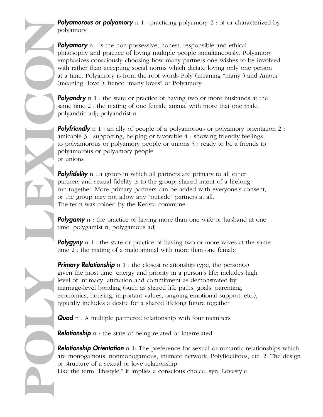**Polyamorous or polyamory** n 1 : practicing polyamory 2 : of or characterized by polyamory

**Polyamory**  $n :$  is the non-possessive, honest, responsible and ethical philosophy and practice of loving multiple people simultaneously. Polyamory emphasizes consciously choosing how many partners one wishes to be involved with rather than accepting social norms which dictate loving only one person at a time. Polyamory is from the root words Poly (meaning "many") and Amour (meaning "love"); hence "many loves" or Polyamory

**Polyandry** n 1 : the state or practice of having two or more husbands at the same time 2 : the mating of one female animal with more that one male; polyandric adj; polyandrist n

**Polyfriendly** n 1 : an ally of people of a polyamorous or polyamory orientation 2 : amicable 3 : supporting, helping or favorable 4 : showing friendly feelings to polyamorous or polyamory people or unions 5 : ready to be a friends to polyamorous or polyamory people or unions

**Polyfidelity**  $n : a$  group in which all partners are primary to all other partners and sexual fidelity is to the group; shared intent of a lifelong run together. More primary partners can be added with everyone's consent, or the group may not allow any "outside" partners at all. The term was coined by the Kerista commune

**Polygamy** n : the practice of having more than one wife or husband at one time; polygamist n; polygamous adj

**Polygyny** n 1 : the state or practice of having two or more wives at the same time 2 : the mating of a male animal with more than one female

**Primary Relationship** n 1 : the closest relationship type, the person(s) given the most time, energy and priority in a person's life; includes high level of intimacy, attraction and commitment as demonstrated by marriage-level bonding (such as shared life paths, goals, parenting, economics, housing, important values, ongoing emotional support, etc.), typically includes a desire for a shared lifelong future together

**Quad**  $n : A$  multiple partnered relationship with four members

**Relationship**  $n$ : the state of being related or interrelated

**POLY LEXICON**

**Relationship Orientation** n 1: The preference for sexual or romantic relationships which are monogamous, nonmonogamous, intimate network, Polyfidelitous, etc. 2: The design or structure of a sexual or love relationship.

Like the term "lifestyle," it implies a conscious choice. syn. Lovestyle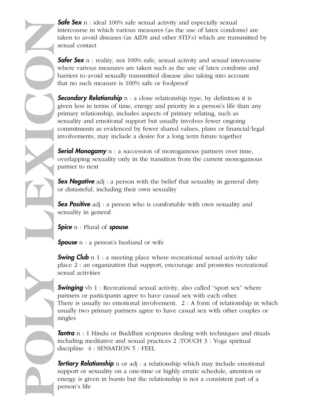**Safe Sex** n : ideal 100% safe sexual activity and especially sexual intercourse in which various measures (as the use of latex condoms) are taken to avoid diseases (as AIDS and other STD's) which are transmitted by sexual contact

**Safer Sex** n : reality, not 100% safe, sexual activity and sexual intercourse where various measures are taken such as the use of latex condoms and barriers to avoid sexually transmitted disease also taking into account that no such measure is 100% safe or foolproof

**Secondary Relationship** n : a close relationship type, by definition it is given less in terms of time, energy and priority in a person's life than any primary relationship, includes aspects of primary relating, such as sexuality and emotional support but usually involves fewer ongoing commitments as evidenced by fewer shared values, plans or financial/legal involvements, may include a desire for a long term future together **Safe Sex n**<br>
intercourse i<br>
intercourse is<br>
sexual conta<br>
sexual conta<br>
sexual conta<br>
of the sexual contains to a<br> **POLY DESCONDITE SEX PERSONARY**<br>
personality and<br>
involvement<br> **POLY DESCONDITE SEX POSITIVE**<br> **POLY DESCO** 

**Serial Monogamy** n : a succession of monogamous partners over time, overlapping sexuality only in the transition from the current monogamous partner to next

**Sex Negative** adj : a person with the belief that sexuality in general dirty or distasteful, including their own sexuality

**Sex Positive** adj : a person who is comfortable with own sexuality and sexuality in general

**Spice** n : Plural of **spouse** 

**Spouse** n : a person's husband or wife

**Swing Club** n 1 : a meeting place where recreational sexual activity take place 2 : an organization that support, encourage and promotes recreational sexual activities

**Swinging** vb 1 : Recreational sexual activity, also called "sport sex" where partners or participants agree to have casual sex with each other. There is usually no emotional involvement. 2 : A form of relationship in which usually two primary partners agree to have casual sex with other couples or singles

**Tantra** n : 1 Hindu or Buddhist scriptures dealing with techniques and rituals including meditative and sexual practices 2 :TOUCH 3 : Yoga spiritual discipline 4 : SENSATION 5 : FEEL

**Tertiary Relationship** n or adj : a relationship which may include emotional support or sexuality on a one-time or highly erratic schedule, attention or energy is given in bursts but the relationship is not a consistent part of a person's life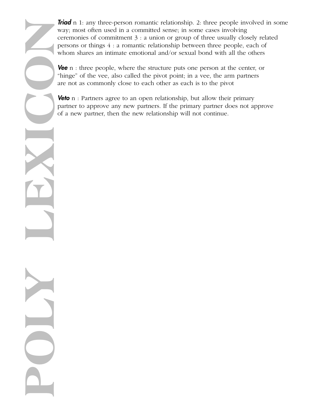**Triad** n 1: any three-person romantic relationship. 2: three people involved in some way; most often used in a committed sense; in some cases involving ceremonies of commitment 3 : a union or group of three usually closely related persons or things 4 : a romantic relationship between three people, each of whom shares an intimate emotional and/or sexual bond with all the others

**Vee** n : three people, where the structure puts one person at the center, or "hinge" of the vee, also called the pivot point; in a vee, the arm partners are not as commonly close to each other as each is to the pivot

**Veto**  $n$ : Partners agree to an open relationship, but allow their primary partner to approve any new partners. If the primary partner does not approve of a new partner, then the new relationship will not continue.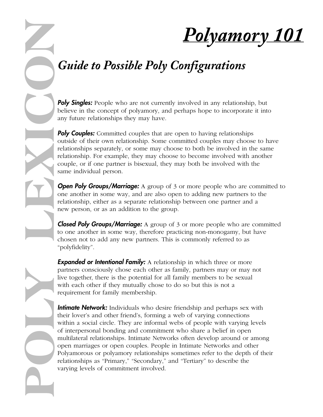*Polyamory 101*

# *Guide to Possible Poly Configurations*

**Poly Singles:** People who are not currently involved in any relationship, but believe in the concept of polyamory, and perhaps hope to incorporate it into any future relationships they may have.

**Poly Couples:** Committed couples that are open to having relationships outside of their own relationship. Some committed couples may choose to have relationships separately, or some may choose to both be involved in the same relationship. For example, they may choose to become involved with another couple, or if one partner is bisexual, they may both be involved with the same individual person.

**Open Poly Groups/Marriage:** A group of 3 or more people who are committed to one another in some way, and are also open to adding new partners to the relationship, either as a separate relationship between one partner and a new person, or as an addition to the group.

**Closed Poly Groups/Marriage:** A group of 3 or more people who are committed to one another in some way, therefore practicing non-monogamy, but have chosen not to add any new partners. This is commonly referred to as "polyfidelity".

**Expanded or Intentional Family:** A relationship in which three or more partners consciously chose each other as family, partners may or may not live together, there is the potential for all family members to be sexual with each other if they mutually chose to do so but this is not a requirement for family membership.

**POLY LEXICON**

**Intimate Network:** Individuals who desire friendship and perhaps sex with their lover's and other friend's, forming a web of varying connections within a social circle. They are informal webs of people with varying levels of interpersonal bonding and commitment who share a belief in open multilateral relationships. Intimate Networks often develop around or among open marriages or open couples. People in Intimate Networks and other Polyamorous or polyamory relationships sometimes refer to the depth of their relationships as "Primary," "Secondary," and "Tertiary" to describe the varying levels of commitment involved.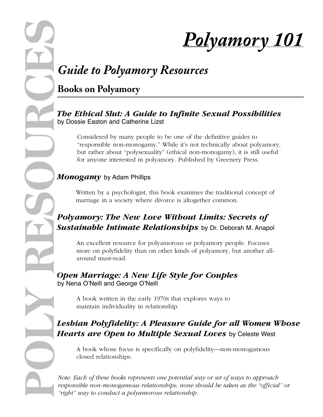

# *Guide to Polyamory Resources*

**Books on Polyamory**

#### *The Ethical Slut: A Guide to Infinite Sexual Possibilities* by Dossie Easton and Catherine Lizst

Considered by many people to be one of the definitive guides to "responsible non-monogamy." While it's not technically about polyamory, but rather about "polysexuality" (ethical non-monogamy), it is still useful for anyone interested in polyamory. Published by Greenery Press.

#### *Monogamy* by Adam Phillips

Written by a psychologist, this book examines the traditional concept of marriage in a society where divorce is altogether common.

# *Polyamory: The New Love Without Limits: Secrets of Sustainable Intimate Relationships* by Dr. Deborah M. Anapol

An excellent resource for polyamorous or polyamory people. Focuses more on polyfidelity than on other kinds of polyamory, but another allaround must-read.

*Open Marriage: A New Life Style for Couples* by Nena O'Neill and George O'Neill

> A book written in the early 1970s that explores ways to maintain individuality in relationship.

# *Lesbian Polyfidelity: A Pleasure Guide for all Women Whose Hearts are Open to Multiple Sexual Loves* by Celeste West

A book whose focus is specifically on polyfidelity—non-monogamous closed relationships.

*Note: Each of these books represents one potential way or set of ways to approach responsible non-monogamous relationships; none should be taken as the "official" or "right" way to conduct a polyamorous relationship.*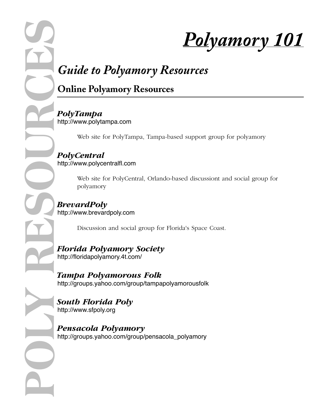

# *Guide to Polyamory Resources*

# **Online Polyamory Resources**

*PolyTampa* http://www.polytampa.com

Web site for PolyTampa, Tampa-based support group for polyamory

*PolyCentral* http://www.polycentralfl.com

> Web site for PolyCentral, Orlando-based discussiont and social group for polyamory

*BrevardPoly* http://www.brevardpoly.com

Discussion and social group for Florida's Space Coast.

*Florida Polyamory Society* http://floridapolyamory.4t.com/

*Tampa Polyamorous Folk* http://groups.yahoo.com/group/tampapolyamorousfolk

*South Florida Poly* http://www.sfpoly.org

*Pensacola Polyamory* http://groups.yahoo.com/group/pensacola\_polyamory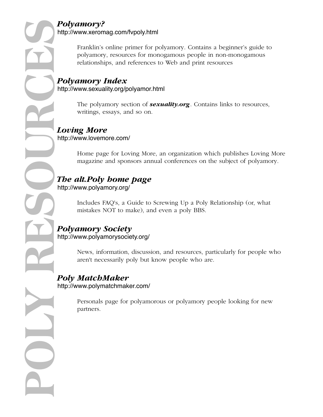# *Polyamory?*

http://www.xeromag.com/fvpoly.html

Franklin's online primer for polyamory. Contains a beginner's guide to polyamory, resources for monogamous people in non-monogamous relationships, and references to Web and print resources

#### *Polyamory Index* http://www.sexuality.org/polyamor.html

The polyamory section of *sexuality.org*. Contains links to resources, writings, essays, and so on.

#### *Loving More* http://www.lovemore.com/

Home page for Loving More, an organization which publishes Loving More magazine and sponsors annual conferences on the subject of polyamory.

#### *The alt.Poly home page* http://www.polyamory.org/

Includes FAQ's, a Guide to Screwing Up a Poly Relationship (or, what mistakes NOT to make), and even a poly BBS.

#### *Polyamory Society* http://www.polyamorysociety.org/

News, information, discussion, and resources, particularly for people who aren't necessarily poly but know people who are.

#### *Poly MatchMaker* http://www.polymatchmaker.com/

Personals page for polyamorous or polyamory people looking for new partners.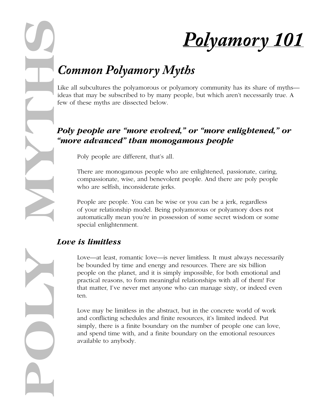

# *Common Polyamory Myths*

Like all subcultures the polyamorous or polyamory community has its share of myths ideas that may be subscribed to by many people, but which aren't necessarily true. A few of these myths are dissected below.

## *Poly people are "more evolved," or "more enlightened," or "more advanced" than monogamous people*

Poly people are different, that's all.

There are monogamous people who are enlightened, passionate, caring, compassionate, wise, and benevolent people. And there are poly people who are selfish, inconsiderate jerks.

People are people. You can be wise or you can be a jerk, regardless of your relationship model. Being polyamorous or polyamory does not automatically mean you're in possession of some secret wisdom or some special enlightenment.

#### *Love is limitless*

Love—at least, romantic love—is never limitless. It must always necessarily be bounded by time and energy and resources. There are six billion people on the planet, and it is simply impossible, for both emotional and practical reasons, to form meaningful relationships with all of them! For that matter, I've never met anyone who can manage sixty, or indeed even ten.

Love may be limitless in the abstract, but in the concrete world of work and conflicting schedules and finite resources, it's limited indeed. Put simply, there is a finite boundary on the number of people one can love, and spend time with, and a finite boundary on the emotional resources available to anybody.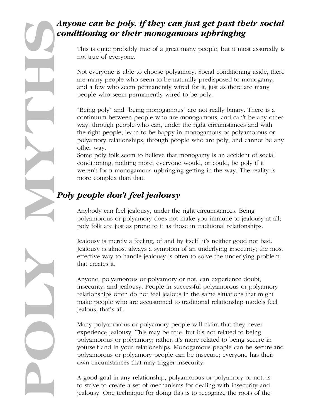# *conditioning or their monogamous upbringing*

This is quite probably true of a great many people, but it most assuredly is not true of everyone.

Not everyone is able to choose polyamory. Social conditioning aside, there are many people who seem to be naturally predisposed to monogamy, and a few who seem permanently wired for it, just as there are many people who seem permanently wired to be poly.

"Being poly" and "being monogamous" are not really binary. There is a continuum between people who are monogamous, and can't be any other way; through people who can, under the right circumstances and with the right people, learn to be happy in monogamous or polyamorous or polyamory relationships; through people who are poly, and cannot be any other way.

Some poly folk seem to believe that monogamy is an accident of social conditioning, nothing more; everyone would, or could, be poly if it weren't for a monogamous upbringing getting in the way. The reality is more complex than that.

# *Poly people don't feel jealousy*

Anybody can feel jealousy, under the right circumstances. Being polyamorous or polyamory does not make you immune to jealousy at all; poly folk are just as prone to it as those in traditional relationships.

Jealousy is merely a feeling; of and by itself, it's neither good nor bad. Jealousy is almost always a symptom of an underlying insecurity; the most effective way to handle jealousy is often to solve the underlying problem that creates it.

Anyone, polyamorous or polyamory or not, can experience doubt, insecurity, and jealousy. People in successful polyamorous or polyamory relationships often do not feel jealous in the same situations that might make people who are accustomed to traditional relationship models feel jealous, that's all.

Many polyamorous or polyamory people will claim that they never experience jealousy. This may be true, but it's not related to being polyamorous or polyamory; rather, it's more related to being secure in yourself and in your relationships. Monogamous people can be secure,and polyamorous or polyamory people can be insecure; everyone has their own circumstances that may trigger insecurity.

A good goal in any relationship, polyamorous or polyamory or not, is to strive to create a set of mechanisms for dealing with insecurity and jealousy. One technique for doing this is to recognize the roots of the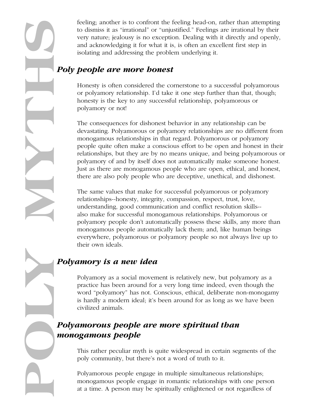to dismiss it as "irrational" or "unjustified." Feelings are irrational by their very nature; jealousy is no exception. Dealing with it directly and openly, and acknowledging it for what it is, is often an excellent first step in isolating and addressing the problem underlying it.

### *Poly people are more honest*

Honesty is often considered the cornerstone to a successful polyamorous or polyamory relationship. I'd take it one step further than that, though; honesty is the key to any successful relationship, polyamorous or polyamory or not!

**POLY MYTHS**feeling; another is to confront the feeling head-on, rather than attempting The consequences for dishonest behavior in any relationship can be devastating. Polyamorous or polyamory relationships are no different from monogamous relationships in that regard. Polyamorous or polyamory people quite often make a conscious effort to be open and honest in their relationships, but they are by no means unique, and being polyamorous or polyamory of and by itself does not automatically make someone honest. Just as there are monogamous people who are open, ethical, and honest, there are also poly people who are deceptive, unethical, and dishonest.

The same values that make for successful polyamorous or polyamory relationships--honesty, integrity, compassion, respect, trust, love, understanding, good communication and conflict resolution skills- also make for successful monogamous relationships. Polyamorous or polyamory people don't automatically possess these skills, any more than monogamous people automatically lack them; and, like human beings everywhere, polyamorous or polyamory people so not always live up to their own ideals.

### *Polyamory is a new idea*

Polyamory as a social movement is relatively new, but polyamory as a practice has been around for a very long time indeed, even though the word "polyamory" has not. Conscious, ethical, deliberate non-monogamy is hardly a modern ideal; it's been around for as long as we have been civilized animals.

# *Polyamorous people are more spiritual than monogamous people*

This rather peculiar myth is quite widespread in certain segments of the poly community, but there's not a word of truth to it.

Polyamorous people engage in multiple simultaneous relationships; monogamous people engage in romantic relationships with one person at a time. A person may be spiritually enlightened or not regardless of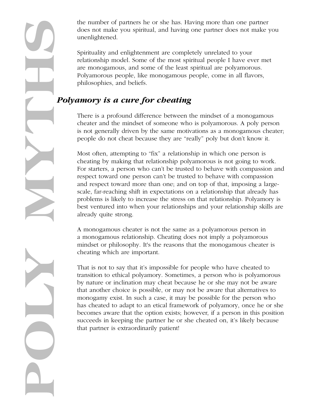the number of partners he or she has. Having more than one partner does not make you spiritual, and having one partner does not make you unenlightened.

Spirituality and enlightenment are completely unrelated to your relationship model. Some of the most spiritual people I have ever met are monogamous, and some of the least spiritual are polyamorous. Polyamorous people, like monogamous people, come in all flavors, philosophies, and beliefs.

## *Polyamory is a cure for cheating*

There is a profound difference between the mindset of a monogamous cheater and the mindset of someone who is polyamorous. A poly person is not generally driven by the same motivations as a monogamous cheater; people do not cheat because they are "really" poly but don't know it.

Most often, attempting to "fix" a relationship in which one person is cheating by making that relationship polyamorous is not going to work. For starters, a person who can't be trusted to behave with compassion and respect toward one person can't be trusted to behave with compassion and respect toward more than one; and on top of that, imposing a largescale, far-reaching shift in expectations on a relationship that already has problems is likely to increase the stress on that relationship. Polyamory is best ventured into when your relationships and your relationship skills are already quite strong.

A monogamous cheater is not the same as a polyamorous person in a monogamous relationship. Cheating does not imply a polyamorous mindset or philosophy. It's the reasons that the monogamous cheater is cheating which are important.

That is not to say that it's impossible for people who have cheated to transition to ethical polyamory. Sometimes, a person who is polyamorous by nature or inclination may cheat because he or she may not be aware that another choice is possible, or may not be aware that alternatives to monogamy exist. In such a case, it may be possible for the person who has cheated to adapt to an etical framework of polyamory, once he or she becomes aware that the option exists; however, if a person in this position succeeds in keeping the partner he or she cheated on, it's likely because that partner is extraordinarily patient!